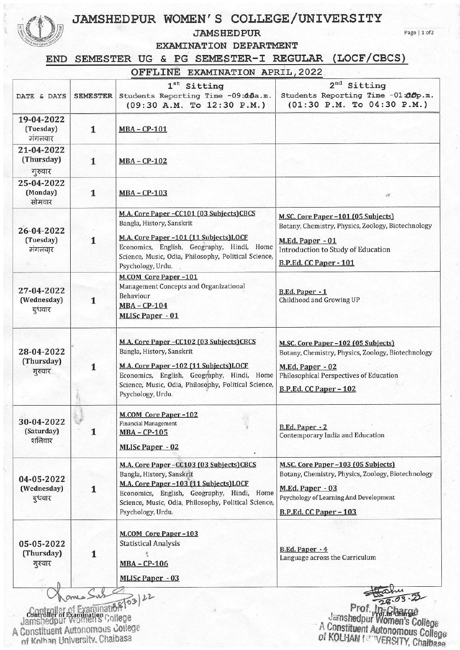## JAMSHEDPUR WOMEN'S COLLEGE/UNIVERSITY

## **JAMSHEDPUR**

Page | 1 of 2

EXAMINATION DEPARTMENT

END SEMESTER UG & PG SEMESTER-I REGULAR (LOCF/CBCS)

|  | OFFLINE EXAMINATION APRIL, 2022 |  |  |
|--|---------------------------------|--|--|
|--|---------------------------------|--|--|

| DATE & DAYS                                                                                             | <b>SEMESTER</b> | $1^{st}$<br>Sitting<br>Students Reporting Time -09:45a.m.<br>$(09:30$ A.M. To $12:30$ P.M.)                                                                                                                                                 | 2 <sup>nd</sup><br>Sitting<br>Students Reporting Time -01:00p.m.<br>$(01:30 \text{ P.M.} \text{To } 04:30 \text{ P.M.})$                                                          |
|---------------------------------------------------------------------------------------------------------|-----------------|---------------------------------------------------------------------------------------------------------------------------------------------------------------------------------------------------------------------------------------------|-----------------------------------------------------------------------------------------------------------------------------------------------------------------------------------|
| 19-04-2022<br>(Tuesday)<br>मंगलवार                                                                      | $\mathbf{1}$    | <b>MBA-CP-101</b>                                                                                                                                                                                                                           |                                                                                                                                                                                   |
| 21-04-2022<br>(Thursday)<br>गुरुवार                                                                     | $\mathbf{1}$    | MBA-CP-102                                                                                                                                                                                                                                  |                                                                                                                                                                                   |
| 25-04-2022<br>(Monday)<br>सोमवार                                                                        | $\mathbf{1}$    | MBA - CP-103                                                                                                                                                                                                                                |                                                                                                                                                                                   |
| 26-04-2022<br>(Tuesday)<br>मंगलवार                                                                      | 1               | M.A. Core Paper-CC101 (03 Subjects)CBCS<br>Bangla, History, Sanskrit<br>M.A. Core Paper-101 (11 Subjects) LOCF<br>Economics, English, Geography, Hindi, Home<br>Science, Music, Odia, Philosophy, Political Science,<br>Psychology, Urdu.   | M.SC. Core Paper-101 (05 Subjects)<br>Botany, Chemistry, Physics, Zoology, Biotechnology<br>M.Ed. Paper - 01<br>Introduction to Study of Education<br>B.P.Ed. CC Paper - 101      |
| 27-04-2022<br>(Wednesday)<br>बुधवार                                                                     | 1               | M.COM Core Paper-101<br>Management Concepts and Organizational<br>Behaviour<br>MBA-CP-104<br><b>MLISc Paper - 01</b>                                                                                                                        | B.Ed. Paper - 1<br>Childhood and Growing UP                                                                                                                                       |
| 28-04-2022<br>(Thursday)<br>गुरुवार                                                                     | $\mathbf{1}$    | M.A. Core Paper-CC102 (03 Subjects)CBCS<br>Bangla, History, Sanskrit<br>M.A. Core Paper -102 (11 Subjects) LOCF<br>Economics, English, Geography, Hindi, Home<br>Science, Music, Odia, Philosophy, Political Science,<br>Psychology, Urdu.  | M.SC. Core Paper-102 (05 Subjects)<br>Botany, Chemistry, Physics, Zoology, Biotechnology<br>M.Ed. Paper - 02<br>Philosophical Perspectives of Education<br>B.P.Ed. CC Paper - 102 |
| 30-04-2022<br>(Saturday)<br>शनिवार                                                                      | 1               | <b>M.COM Core Paper-102</b><br>Financial Management<br><b>MBA - CP-105</b><br><b>MLISc Paper - 02</b>                                                                                                                                       | B.Ed. Paper - 2<br>Contemporary India and Education                                                                                                                               |
| 04-05-2022<br>(Wednesday)<br>बुधवार                                                                     | 1               | M.A. Core Paper -CC103 (03 Subjects)CBCS<br>Bangla, History, Sanskrit<br>M.A. Core Paper -103 (11 Subjects) LOCF<br>Economics, English, Geography, Hindi, Home<br>Science, Music, Odia, Philosophy, Political Science,<br>Psychology, Urdu. | M.SC. Core Paper -103 (05 Subjects)<br>Botany, Chemistry, Physics, Zoology, Biotechnology<br>M.Ed. Paper - 03<br>Psychology of Learning And Development<br>B.P.Ed. CC Paper - 103 |
| 05-05-2022<br>(Thursday)<br>गुरुवार                                                                     | $\mathbf{1}$    | <b>M.COM Core Paper-103</b><br><b>Statistical Analysis</b><br>MBA - CP-106<br><b>MLISc Paper - 03</b>                                                                                                                                       | B.Ed. Paper - 4<br>Language across the Curriculum                                                                                                                                 |
| Controller of Examination College<br>A Constituent Autonomous college<br>of Kolhan University, Chaibasa |                 | 112108 03 22                                                                                                                                                                                                                                | Prof. Jn: Gharge<br>Jamshedpur Women's College<br>A Constituent Autonomous College<br>of KOLHAN (CONVERSITY, Chaibase                                                             |